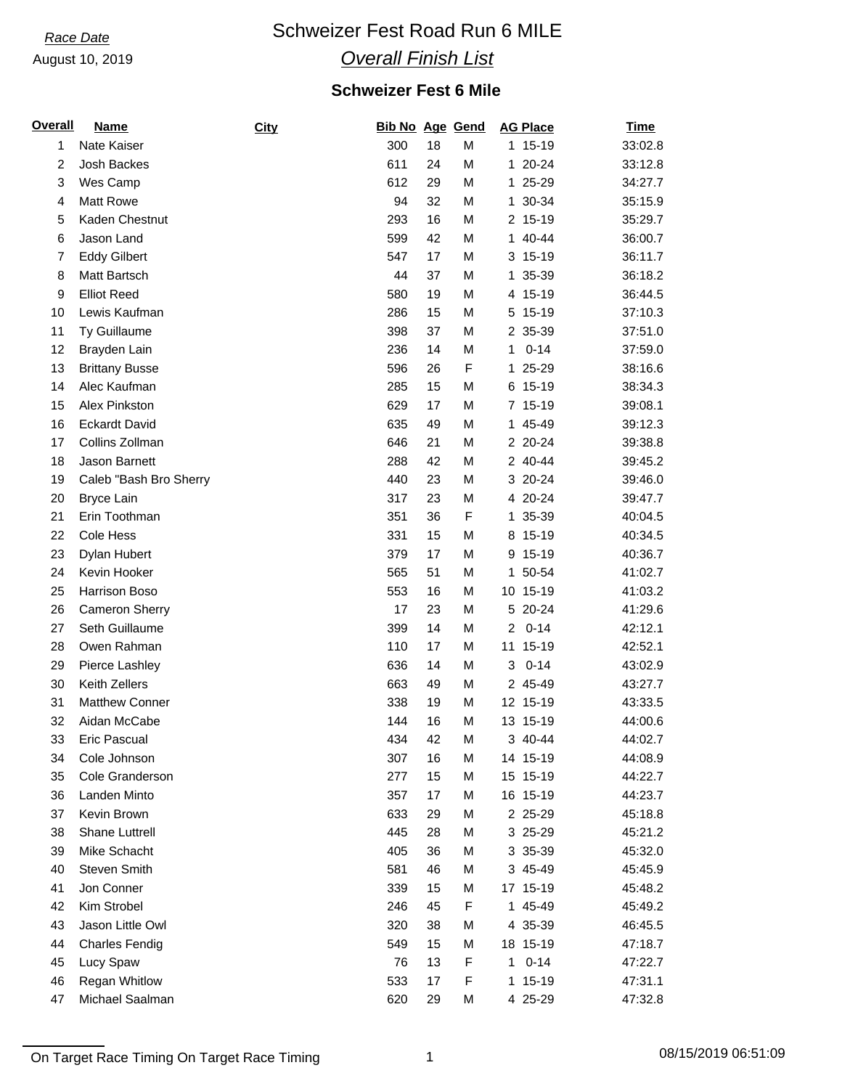August 10, 2019

# **Race Date Schweizer Fest Road Run 6 MILE**

## *Overall Finish List*

## **Schweizer Fest 6 Mile**

| <b>Overall</b> | <b>Name</b>            | City | <b>Bib No Age Gend</b> |    |   | <b>AG Place</b>         | <b>Time</b> |
|----------------|------------------------|------|------------------------|----|---|-------------------------|-------------|
| 1              | Nate Kaiser            |      | 300                    | 18 | M | 1 15-19                 | 33:02.8     |
| $\overline{c}$ | Josh Backes            |      | 611                    | 24 | M | 1 20-24                 | 33:12.8     |
| 3              | Wes Camp               |      | 612                    | 29 | M | 1 25-29                 | 34:27.7     |
| 4              | <b>Matt Rowe</b>       |      | 94                     | 32 | M | 1 30-34                 | 35:15.9     |
| 5              | Kaden Chestnut         |      | 293                    | 16 | M | 2 15-19                 | 35:29.7     |
| 6              | Jason Land             |      | 599                    | 42 | M | 1 40-44                 | 36:00.7     |
| $\overline{7}$ | <b>Eddy Gilbert</b>    |      | 547                    | 17 | M | 3 15-19                 | 36:11.7     |
| 8              | Matt Bartsch           |      | 44                     | 37 | M | 1 35-39                 | 36:18.2     |
| 9              | <b>Elliot Reed</b>     |      | 580                    | 19 | M | 4 15-19                 | 36:44.5     |
| 10             | Lewis Kaufman          |      | 286                    | 15 | M | 5 15-19                 | 37:10.3     |
| 11             | Ty Guillaume           |      | 398                    | 37 | M | 2 35-39                 | 37:51.0     |
| 12             | Brayden Lain           |      | 236                    | 14 | M | $0 - 14$<br>1           | 37:59.0     |
| 13             | <b>Brittany Busse</b>  |      | 596                    | 26 | F | 1 25-29                 | 38:16.6     |
| 14             | Alec Kaufman           |      | 285                    | 15 | M | 6 15-19                 | 38:34.3     |
| 15             | Alex Pinkston          |      | 629                    | 17 | M | 7 15-19                 | 39:08.1     |
| 16             | <b>Eckardt David</b>   |      | 635                    | 49 | M | 1 45-49                 | 39:12.3     |
| 17             | Collins Zollman        |      | 646                    | 21 | M | 2 20-24                 | 39:38.8     |
| 18             | Jason Barnett          |      | 288                    | 42 | M | 2 40-44                 | 39:45.2     |
| 19             | Caleb "Bash Bro Sherry |      | 440                    | 23 | M | 3 20-24                 | 39:46.0     |
| 20             | <b>Bryce Lain</b>      |      | 317                    | 23 | M | 4 20-24                 | 39:47.7     |
| 21             | Erin Toothman          |      | 351                    | 36 | F | 1 35-39                 | 40:04.5     |
| 22             | Cole Hess              |      | 331                    | 15 | M | 8 15-19                 | 40:34.5     |
| 23             | Dylan Hubert           |      | 379                    | 17 | M | 9 15-19                 | 40:36.7     |
| 24             | Kevin Hooker           |      | 565                    | 51 | M | 1 50-54                 | 41:02.7     |
| 25             | Harrison Boso          |      | 553                    | 16 | M | 10 15-19                | 41:03.2     |
| 26             | Cameron Sherry         |      | 17                     | 23 | M | 5 20-24                 | 41:29.6     |
| 27             | Seth Guillaume         |      | 399                    | 14 | M | $0 - 14$<br>$2^{\circ}$ | 42:12.1     |
| 28             | Owen Rahman            |      | 110                    | 17 | M | $15-19$<br>11           | 42:52.1     |
| 29             | Pierce Lashley         |      | 636                    | 14 | M | $0 - 14$<br>3           | 43:02.9     |
| 30             | Keith Zellers          |      | 663                    | 49 | M | 2 45-49                 | 43:27.7     |
| 31             | <b>Matthew Conner</b>  |      | 338                    | 19 | M | 12 15-19                | 43:33.5     |
| 32             | Aidan McCabe           |      | 144                    | 16 | M | 13 15-19                | 44:00.6     |
| 33             | Eric Pascual           |      | 434                    | 42 | M | 3 40-44                 | 44:02.7     |
| 34             | Cole Johnson           |      | 307                    | 16 | M | 14 15-19                | 44:08.9     |
| 35             | Cole Granderson        |      | 277                    | 15 | M | 15 15-19                | 44:22.7     |
| 36             | Landen Minto           |      | 357                    | 17 | M | 16 15-19                | 44:23.7     |
| 37             | Kevin Brown            |      | 633                    | 29 | M | 2 25-29                 | 45:18.8     |
| 38             | Shane Luttrell         |      | 445                    | 28 | М | 3 25-29                 | 45:21.2     |
| 39             | Mike Schacht           |      | 405                    | 36 | M | 3 35-39                 | 45:32.0     |
| 40             | Steven Smith           |      | 581                    | 46 | M | 3 45-49                 | 45:45.9     |
| 41             | Jon Conner             |      | 339                    | 15 | M | 17 15-19                | 45:48.2     |
| 42             | Kim Strobel            |      | 246                    | 45 | F | 1 45-49                 | 45:49.2     |
| 43             | Jason Little Owl       |      | 320                    | 38 | М | 4 35-39                 | 46:45.5     |
| 44             | <b>Charles Fendig</b>  |      | 549                    | 15 | M | 18 15-19                | 47:18.7     |
| 45             | Lucy Spaw              |      | 76                     | 13 | F | $0 - 14$<br>$\mathbf 1$ | 47:22.7     |
| 46             | <b>Regan Whitlow</b>   |      | 533                    | 17 | F | 1 15-19                 | 47:31.1     |
| 47             | Michael Saalman        |      | 620                    | 29 | М | 4 25-29                 | 47:32.8     |
|                |                        |      |                        |    |   |                         |             |

On Target Race Timing On Target Race Timing 1 08/15/2019 06:51:09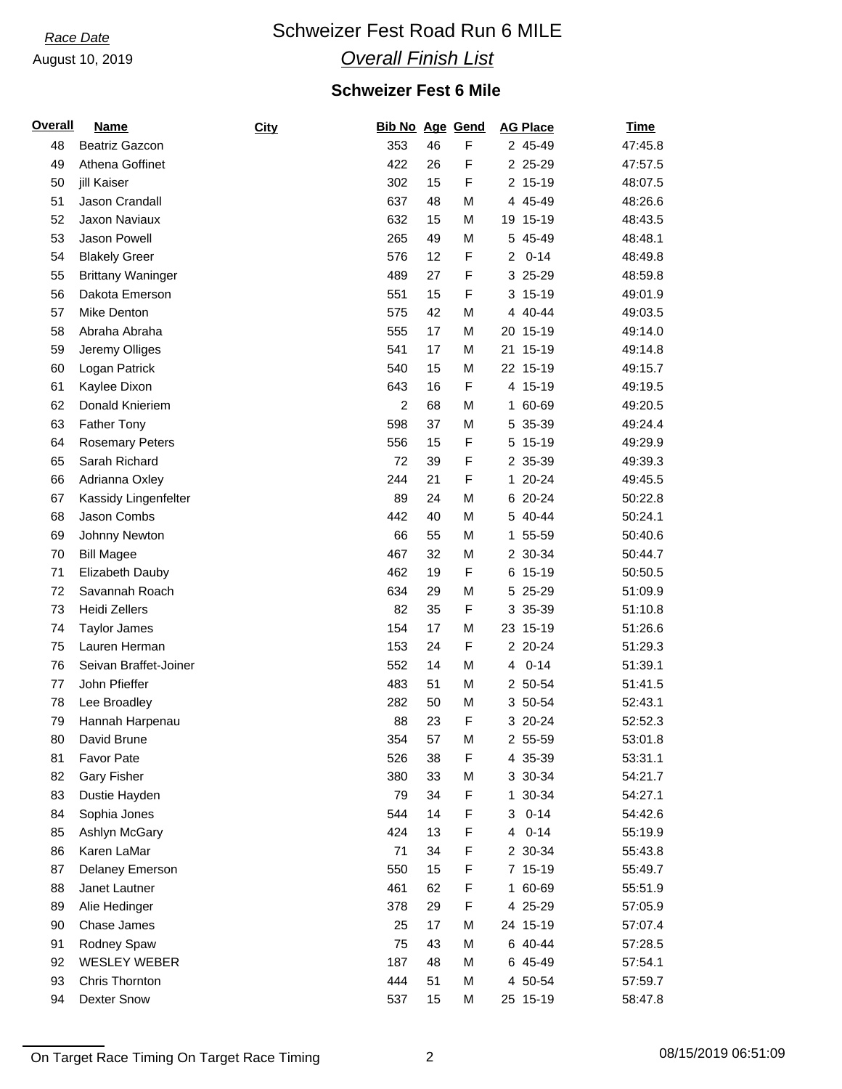### August 10, 2019

# **Race Date Schweizer Fest Road Run 6 MILE**

## *Overall Finish List*

## **Schweizer Fest 6 Mile**

| <b>Overall</b> | <b>Name</b>              | City | <b>Bib No Age Gend</b> |    |   | <b>AG Place</b> | <b>Time</b> |
|----------------|--------------------------|------|------------------------|----|---|-----------------|-------------|
| 48             | <b>Beatriz Gazcon</b>    |      | 353                    | 46 | F | 2 45-49         | 47:45.8     |
| 49             | Athena Goffinet          |      | 422                    | 26 | F | 2 25-29         | 47:57.5     |
| 50             | jill Kaiser              |      | 302                    | 15 | F | 2 15-19         | 48:07.5     |
| 51             | Jason Crandall           |      | 637                    | 48 | М | 4 45-49         | 48:26.6     |
| 52             | Jaxon Naviaux            |      | 632                    | 15 | M | 19 15-19        | 48:43.5     |
| 53             | Jason Powell             |      | 265                    | 49 | M | 5 45-49         | 48:48.1     |
| 54             | <b>Blakely Greer</b>     |      | 576                    | 12 | F | $0 - 14$<br>2   | 48:49.8     |
| 55             | <b>Brittany Waninger</b> |      | 489                    | 27 | F | 3 25-29         | 48:59.8     |
| 56             | Dakota Emerson           |      | 551                    | 15 | F | 3 15-19         | 49:01.9     |
| 57             | Mike Denton              |      | 575                    | 42 | М | 4 40-44         | 49:03.5     |
| 58             | Abraha Abraha            |      | 555                    | 17 | М | 20 15-19        | 49:14.0     |
| 59             | Jeremy Olliges           |      | 541                    | 17 | М | 21 15-19        | 49:14.8     |
| 60             | Logan Patrick            |      | 540                    | 15 | M | 22 15-19        | 49:15.7     |
| 61             | Kaylee Dixon             |      | 643                    | 16 | F | 4 15-19         | 49:19.5     |
| 62             | Donald Knieriem          |      | $\overline{c}$         | 68 | M | 60-69<br>1      | 49:20.5     |
| 63             | <b>Father Tony</b>       |      | 598                    | 37 | M | 5 35-39         | 49:24.4     |
| 64             | <b>Rosemary Peters</b>   |      | 556                    | 15 | F | 5 15-19         | 49:29.9     |
| 65             | Sarah Richard            |      | 72                     | 39 | F | 2 35-39         | 49:39.3     |
| 66             | Adrianna Oxley           |      | 244                    | 21 | F | 20-24<br>1.     | 49:45.5     |
| 67             | Kassidy Lingenfelter     |      | 89                     | 24 | М | 6 20-24         | 50:22.8     |
| 68             | Jason Combs              |      | 442                    | 40 | M | 5 40-44         | 50:24.1     |
| 69             | Johnny Newton            |      | 66                     | 55 | M | 55-59<br>1.     | 50:40.6     |
| 70             | <b>Bill Magee</b>        |      | 467                    | 32 | M | 2 30-34         | 50:44.7     |
| 71             | Elizabeth Dauby          |      | 462                    | 19 | F | 6 15-19         | 50:50.5     |
| 72             | Savannah Roach           |      | 634                    | 29 | M | 5 25-29         | 51:09.9     |
| 73             | Heidi Zellers            |      | 82                     | 35 | F | 3 35-39         | 51:10.8     |
| 74             | <b>Taylor James</b>      |      | 154                    | 17 | M | 23 15-19        | 51:26.6     |
| 75             | Lauren Herman            |      | 153                    | 24 | F | 2 20-24         | 51:29.3     |
| 76             | Seivan Braffet-Joiner    |      | 552                    | 14 | M | $0 - 14$<br>4   | 51:39.1     |
| 77             | John Pfieffer            |      | 483                    | 51 | M | 2 50-54         | 51:41.5     |
| 78             | Lee Broadley             |      | 282                    | 50 | М | 3 50-54         | 52:43.1     |
| 79             | Hannah Harpenau          |      | 88                     | 23 | F | 3 20-24         | 52:52.3     |
| 80             | David Brune              |      | 354                    | 57 | M | 2 55-59         | 53:01.8     |
| 81             | <b>Favor Pate</b>        |      | 526                    | 38 | F | 4 35-39         | 53:31.1     |
| 82             | <b>Gary Fisher</b>       |      | 380                    | 33 | M | 3 30-34         | 54:21.7     |
| 83             | Dustie Hayden            |      | 79                     | 34 | F | 1 30-34         | 54:27.1     |
| 84             | Sophia Jones             |      | 544                    | 14 | F | $0 - 14$<br>3   | 54:42.6     |
| 85             | Ashlyn McGary            |      | 424                    | 13 | F | $0 - 14$<br>4   | 55:19.9     |
| 86             | Karen LaMar              |      | 71                     | 34 | F | 2 30-34         | 55:43.8     |
| 87             | Delaney Emerson          |      | 550                    | 15 | F | 7 15-19         | 55:49.7     |
| 88             | Janet Lautner            |      | 461                    | 62 | F | 60-69<br>1.     | 55:51.9     |
| 89             | Alie Hedinger            |      | 378                    | 29 | F | 4 25-29         | 57:05.9     |
| 90             | Chase James              |      | 25                     | 17 | M | 24 15-19        | 57:07.4     |
| 91             | Rodney Spaw              |      | 75                     | 43 | М | 6 40-44         | 57:28.5     |
| 92             | <b>WESLEY WEBER</b>      |      | 187                    | 48 | М | 6 45-49         | 57:54.1     |
| 93             | Chris Thornton           |      | 444                    | 51 | М | 4 50-54         | 57:59.7     |
| 94             | <b>Dexter Snow</b>       |      | 537                    | 15 | М | 25 15-19        | 58:47.8     |
|                |                          |      |                        |    |   |                 |             |

On Target Race Timing On Target Race Timing 2 08/15/2019 06:51:09